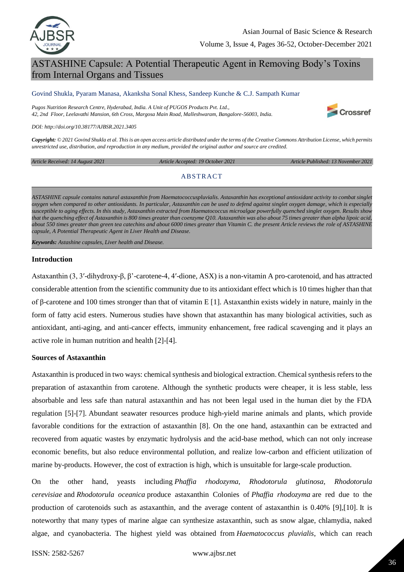

# ASTASHINE Capsule: A Potential Therapeutic Agent in Removing Body's Toxins from Internal Organs and Tissues

#### Govind Shukla, Pyaram Manasa, Akanksha Sonal Khess, Sandeep Kunche & C.J. Sampath Kumar

*Pugos Nutrition Research Centre, Hyderabad, India. A Unit of PUGOS Products Pvt. Ltd., 42, 2nd Floor, Leelavathi Mansion, 6th Cross, Margosa Main Road, Malleshwaram, Bangalore-56003, India.* 



*DOI: http://doi.org/10.38177/AJBSR.2021.3405*

*Copyright: © 2021 Govind Shukla et al. This is an open access article distributed under the terms of the Creative Commons Attribution License, which permits unrestricted use, distribution, and reproduction in any medium, provided the original author and source are credited.* 

*Article Received: 14 August 2021 Article Accepted: 19 October 2021 Article Published: 13 November 2021*

# **ABSTRACT**

*ASTASHINE capsule contains natural astaxanthin from Haematococcuspluvialis. Astaxanthin has exceptional antioxidant activity to combat singlet oxygen when compared to other antioxidants. In particular, Astaxanthin can be used to defend against singlet oxygen damage, which is especially susceptible to aging effects. In this study, Astaxanthin extracted from Haematococcus microalgae powerfully quenched singlet oxygen. Results show that the quenching effect of Astaxanthin is 800 times greater than coenzyme Q10. Astaxanthin was also about 75 times greater than alpha lipoic acid, about 550 times greater than green tea catechins and about 6000 times greater than Vitamin C. the present Article reviews the role of ASTASHINE capsule, A Potential Therapeutic Agent in Liver Health and Disease.*

*Keywords: Astashine capsules, Liver health and Disease.*

#### **Introduction**

Astaxanthin (3, 3ʹ-dihydroxy-β, β'-carotene-4, 4ʹ-dione, ASX) is a non-vitamin A pro-carotenoid, and has attracted considerable attention from the scientific community due to its antioxidant effect which is 10 times higher than that of β-carotene and 100 times stronger than that of vitamin E [1]. Astaxanthin exists widely in nature, mainly in the form of fatty acid esters. Numerous studies have shown that astaxanthin has many biological activities, such as antioxidant, anti-aging, and anti-cancer effects, immunity enhancement, free radical scavenging and it plays an active role in human nutrition and health [2]-[4].

# **Sources of Astaxanthin**

Astaxanthin is produced in two ways: chemical synthesis and biological extraction. Chemical synthesis refers to the preparation of astaxanthin from carotene. Although the synthetic products were cheaper, it is less stable, less absorbable and less safe than natural astaxanthin and has not been legal used in the human diet by the FDA regulation [5]-[7]. Abundant seawater resources produce high-yield marine animals and plants, which provide favorable conditions for the extraction of astaxanthin [8]. On the one hand, astaxanthin can be extracted and recovered from aquatic wastes by enzymatic hydrolysis and the acid-base method, which can not only increase economic benefits, but also reduce environmental pollution, and realize low-carbon and efficient utilization of marine by-products. However, the cost of extraction is high, which is unsuitable for large-scale production.

On the other hand, yeasts including *Phaffia rhodozyma, Rhodotorula glutinosa, Rhodotorula cerevisiae* and *Rhodotorula oceanica* produce astaxanthin Colonies of *Phaffia rhodozyma* are red due to the production of carotenoids such as astaxanthin, and the average content of astaxanthin is 0.40% [9],[10]. It is noteworthy that many types of marine algae can synthesize astaxanthin, such as snow algae, chlamydia, naked algae, and cyanobacteria. The highest yield was obtained from *Haematococcus pluvialis*, which can reach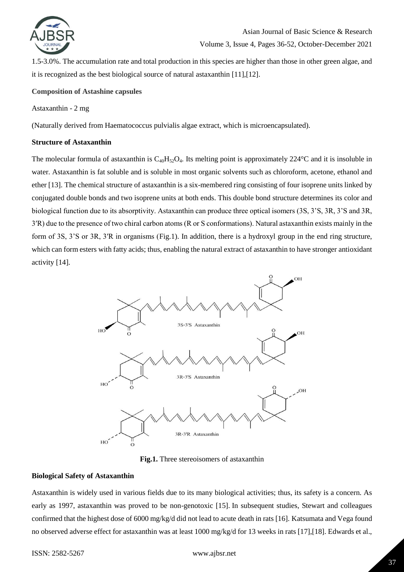

1.5-3.0%. The accumulation rate and total production in this species are higher than those in other green algae, and it is recognized as the best biological source of natural astaxanthin [11],[12].

# **Composition of Astashine capsules**

Astaxanthin - 2 mg

(Naturally derived from Haematococcus pulvialis algae extract, which is microencapsulated).

# **Structure of Astaxanthin**

The molecular formula of astaxanthin is  $C_{40}H_{52}O_4$ . Its melting point is approximately 224°C and it is insoluble in water. Astaxanthin is fat soluble and is soluble in most organic solvents such as chloroform, acetone, ethanol and ether [13]. The chemical structure of astaxanthin is a six-membered ring consisting of four isoprene units linked by conjugated double bonds and two isoprene units at both ends. This double bond structure determines its color and biological function due to its absorptivity. Astaxanthin can produce three optical isomers (3S, 3'S, 3R, 3'S and 3R, 3ʹR) due to the presence of two chiral carbon atoms (R or S conformations). Natural astaxanthin exists mainly in the form of 3S, 3'S or 3R, 3ʹR in organisms [\(Fig.1\)](https://www.ncbi.nlm.nih.gov/pmc/articles/PMC7293384/figure/F0001/). In addition, there is a hydroxyl group in the end ring structure, which can form esters with fatty acids; thus, enabling the natural extract of astaxanthin to have stronger antioxidant activity [14][.](https://www.ncbi.nlm.nih.gov/core/lw/2.0/html/tileshop_pmc/tileshop_pmc_inline.html?title=Click%20on%20image%20to%20zoom&p=PMC3&id=7293384_DDDT-14-2275-g0001.jpg)



**[Fig.1.](https://www.ncbi.nlm.nih.gov/pmc/articles/PMC7293384/figure/F0001/)** Three stereoisomers of astaxanthin

# **Biological Safety of Astaxanthin**

Astaxanthin is widely used in various fields due to its many biological activities; thus, its safety is a concern. As early as 1997, astaxanthin was proved to be non-genotoxic [15]. In subsequent studies, Stewart and colleagues confirmed that the highest dose of 6000 mg/kg/d did not lead to acute death in rats [16]. Katsumata and Vega found no observed adverse effect for astaxanthin was at least 1000 mg/kg/d for 13 weeks in rats [17],[18]. Edwards et al.,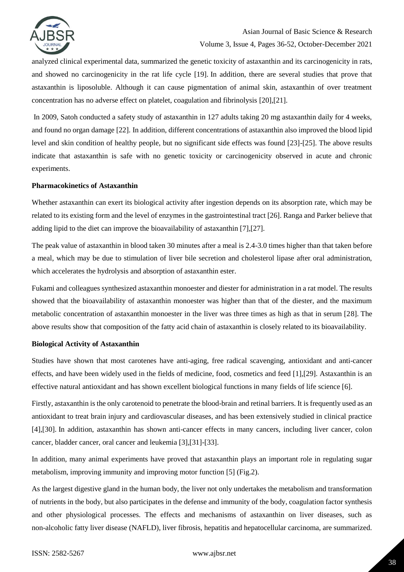

analyzed clinical experimental data, summarized the genetic toxicity of astaxanthin and its carcinogenicity in rats, and showed no carcinogenicity in the rat life cycle [19]. In addition, there are several studies that prove that astaxanthin is liposoluble. Although it can cause pigmentation of animal skin, astaxanthin of over treatment concentration has no adverse effect on platelet, coagulation and fibrinolysis [20],[21].

In 2009, Satoh conducted a safety study of astaxanthin in 127 adults taking 20 mg astaxanthin daily for 4 weeks, and found no organ damage [22]. In addition, different concentrations of astaxanthin also improved the blood lipid level and skin condition of healthy people, but no significant side effects was found [23]-[25]. The above results indicate that astaxanthin is safe with no genetic toxicity or carcinogenicity observed in acute and chronic experiments.

# **Pharmacokinetics of Astaxanthin**

Whether astaxanthin can exert its biological activity after ingestion depends on its absorption rate, which may be related to its existing form and the level of enzymes in the gastrointestinal tract [26]. Ranga and Parker believe that adding lipid to the diet can improve the bioavailability of astaxanthin [7],[27].

The peak value of astaxanthin in blood taken 30 minutes after a meal is 2.4-3.0 times higher than that taken before a meal, which may be due to stimulation of liver bile secretion and cholesterol lipase after oral administration, which accelerates the hydrolysis and absorption of astaxanthin ester.

Fukami and colleagues synthesized astaxanthin monoester and diester for administration in a rat model. The results showed that the bioavailability of astaxanthin monoester was higher than that of the diester, and the maximum metabolic concentration of astaxanthin monoester in the liver was three times as high as that in serum [28]. The above results show that composition of the fatty acid chain of astaxanthin is closely related to its bioavailability.

# **Biological Activity of Astaxanthin**

Studies have shown that most carotenes have anti-aging, free radical scavenging, antioxidant and anti-cancer effects, and have been widely used in the fields of medicine, food, cosmetics and feed [1],[29]. Astaxanthin is an effective natural antioxidant and has shown excellent biological functions in many fields of life science [6].

Firstly, astaxanthin is the only carotenoid to penetrate the blood-brain and retinal barriers. It is frequently used as an antioxidant to treat brain injury and cardiovascular diseases, and has been extensively studied in clinical practice [4],[30]. In addition, astaxanthin has shown anti-cancer effects in many cancers, including liver cancer, colon cancer, bladder cancer, oral cancer and leukemia [3],[31]-[33].

In addition, many animal experiments have proved that astaxanthin plays an important role in regulating sugar metabolism, improving immunity and improving motor function [5] [\(Fig.2\)](https://www.ncbi.nlm.nih.gov/pmc/articles/PMC7293384/figure/F0002/).

As the largest digestive gland in the human body, the liver not only undertakes the metabolism and transformation of nutrients in the body, but also participates in the defense and immunity of the body, coagulation factor synthesis and other physiological processes. The effects and mechanisms of astaxanthin on liver diseases, such as non-alcoholic fatty liver disease (NAFLD), liver fibrosis, hepatitis and hepatocellular carcinoma, are summarized[.](https://www.ncbi.nlm.nih.gov/core/lw/2.0/html/tileshop_pmc/tileshop_pmc_inline.html?title=Click%20on%20image%20to%20zoom&p=PMC3&id=7293384_DDDT-14-2275-g0002.jpg)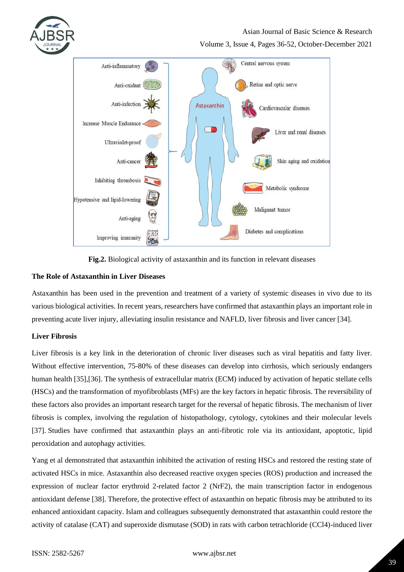

# Asian Journal of Basic Science & Research

Volume 3, Issue 4, Pages 36-52, October-December 2021



**[Fig.2.](https://www.ncbi.nlm.nih.gov/pmc/articles/PMC7293384/figure/F0002/)** Biological activity of astaxanthin and its function in relevant diseases

# **The Role of Astaxanthin in Liver Diseases**

Astaxanthin has been used in the prevention and treatment of a variety of systemic diseases in vivo due to its various biological activities. In recent years, researchers have confirmed that astaxanthin plays an important role in preventing acute liver injury, alleviating insulin resistance and NAFLD, liver fibrosis and liver cancer [34].

# **Liver Fibrosis**

Liver fibrosis is a key link in the deterioration of chronic liver diseases such as viral hepatitis and fatty liver. Without effective intervention, 75-80% of these diseases can develop into cirrhosis, which seriously endangers human health [35],[36]. The synthesis of extracellular matrix (ECM) induced by activation of hepatic stellate cells (HSCs) and the transformation of myofibroblasts (MFs) are the key factors in hepatic fibrosis. The reversibility of these factors also provides an important research target for the reversal of hepatic fibrosis. The mechanism of liver fibrosis is complex, involving the regulation of histopathology, cytology, cytokines and their molecular levels [37]. Studies have confirmed that astaxanthin plays an anti-fibrotic role via its antioxidant, apoptotic, lipid peroxidation and autophagy activities.

Yang et al demonstrated that astaxanthin inhibited the activation of resting HSCs and restored the resting state of activated HSCs in mice. Astaxanthin also decreased reactive oxygen species (ROS) production and increased the expression of nuclear factor erythroid 2-related factor 2 (NrF2), the main transcription factor in endogenous antioxidant defense [38]. Therefore, the protective effect of astaxanthin on hepatic fibrosis may be attributed to its enhanced antioxidant capacity. Islam and colleagues subsequently demonstrated that astaxanthin could restore the activity of catalase (CAT) and superoxide dismutase (SOD) in rats with carbon tetrachloride (CCl4)-induced liver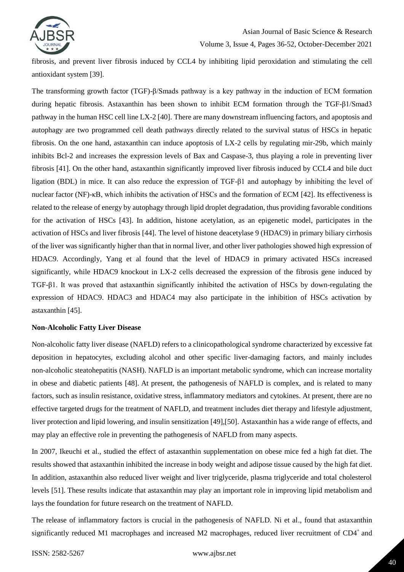

fibrosis, and prevent liver fibrosis induced by CCL4 by inhibiting lipid peroxidation and stimulating the cell antioxidant system [39].

The transforming growth factor (TGF)-β/Smads pathway is a key pathway in the induction of ECM formation during hepatic fibrosis. Astaxanthin has been shown to inhibit ECM formation through the TGF-β1/Smad3 pathway in the human HSC cell line LX-2 [40]. There are many downstream influencing factors, and apoptosis and autophagy are two programmed cell death pathways directly related to the survival status of HSCs in hepatic fibrosis. On the one hand, astaxanthin can induce apoptosis of LX-2 cells by regulating mir-29b, which mainly inhibits Bcl-2 and increases the expression levels of Bax and Caspase-3, thus playing a role in preventing liver fibrosis [41]. On the other hand, astaxanthin significantly improved liver fibrosis induced by CCL4 and bile duct ligation (BDL) in mice. It can also reduce the expression of TGF-β1 and autophagy by inhibiting the level of nuclear factor (NF)-κB, which inhibits the activation of HSCs and the formation of ECM [42]. Its effectiveness is related to the release of energy by autophagy through lipid droplet degradation, thus providing favorable conditions for the activation of HSCs [43]. In addition, histone acetylation, as an epigenetic model, participates in the activation of HSCs and liver fibrosis [44]. The level of histone deacetylase 9 (HDAC9) in primary biliary cirrhosis of the liver was significantly higher than that in normal liver, and other liver pathologies showed high expression of HDAC9. Accordingly, Yang et al found that the level of HDAC9 in primary activated HSCs increased significantly, while HDAC9 knockout in LX-2 cells decreased the expression of the fibrosis gene induced by TGF-β1. It was proved that astaxanthin significantly inhibited the activation of HSCs by down-regulating the expression of HDAC9. HDAC3 and HDAC4 may also participate in the inhibition of HSCs activation by astaxanthin [45].

# **Non-Alcoholic Fatty Liver Disease**

Non-alcoholic fatty liver disease (NAFLD) refers to a clinicopathological syndrome characterized by excessive fat deposition in hepatocytes, excluding alcohol and other specific liver-damaging factors, and mainly includes non-alcoholic steatohepatitis (NASH). NAFLD is an important metabolic syndrome, which can increase mortality in obese and diabetic patients [48]. At present, the pathogenesis of NAFLD is complex, and is related to many factors, such as insulin resistance, oxidative stress, inflammatory mediators and cytokines. At present, there are no effective targeted drugs for the treatment of NAFLD, and treatment includes diet therapy and lifestyle adjustment, liver protection and lipid lowering, and insulin sensitization [49],[50]. Astaxanthin has a wide range of effects, and may play an effective role in preventing the pathogenesis of NAFLD from many aspects.

In 2007, Ikeuchi et al., studied the effect of astaxanthin supplementation on obese mice fed a high fat diet. The results showed that astaxanthin inhibited the increase in body weight and adipose tissue caused by the high fat diet. In addition, astaxanthin also reduced liver weight and liver triglyceride, plasma triglyceride and total cholesterol levels [51]. These results indicate that astaxanthin may play an important role in improving lipid metabolism and lays the foundation for future research on the treatment of NAFLD.

The release of inflammatory factors is crucial in the pathogenesis of NAFLD. Ni et al., found that astaxanthin significantly reduced M1 macrophages and increased M2 macrophages, reduced liver recruitment of  $CD4^+$  and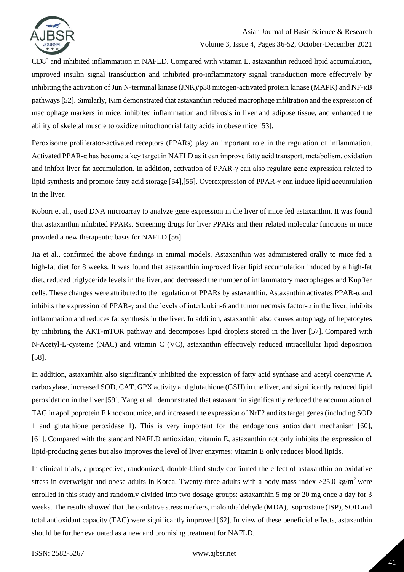

CD8<sup>+</sup> and inhibited inflammation in NAFLD. Compared with vitamin E, astaxanthin reduced lipid accumulation, improved insulin signal transduction and inhibited pro-inflammatory signal transduction more effectively by inhibiting the activation of Jun N-terminal kinase (JNK)/p38 mitogen-activated protein kinase (MAPK) and NF-κB pathways [52]. Similarly, Kim demonstrated that astaxanthin reduced macrophage infiltration and the expression of macrophage markers in mice, inhibited inflammation and fibrosis in liver and adipose tissue, and enhanced the ability of skeletal muscle to oxidize mitochondrial fatty acids in obese mice [53].

Peroxisome proliferator-activated receptors (PPARs) play an important role in the regulation of inflammation. Activated PPAR-α has become a key target in NAFLD as it can improve fatty acid transport, metabolism, oxidation and inhibit liver fat accumulation. In addition, activation of PPAR-γ can also regulate gene expression related to lipid synthesis and promote fatty acid storage [54],[55]. Overexpression of PPAR-γ can induce lipid accumulation in the liver.

Kobori et al., used DNA microarray to analyze gene expression in the liver of mice fed astaxanthin. It was found that astaxanthin inhibited PPARs. Screening drugs for liver PPARs and their related molecular functions in mice provided a new therapeutic basis for NAFLD [56].

Jia et al., confirmed the above findings in animal models. Astaxanthin was administered orally to mice fed a high-fat diet for 8 weeks. It was found that astaxanthin improved liver lipid accumulation induced by a high-fat diet, reduced triglyceride levels in the liver, and decreased the number of inflammatory macrophages and Kupffer cells. These changes were attributed to the regulation of PPARs by astaxanthin. Astaxanthin activates PPAR-α and inhibits the expression of PPAR-γ and the levels of interleukin-6 and tumor necrosis factor-α in the liver, inhibits inflammation and reduces fat synthesis in the liver. In addition, astaxanthin also causes autophagy of hepatocytes by inhibiting the AKT-mTOR pathway and decomposes lipid droplets stored in the liver [57]. Compared with N-Acetyl-L-cysteine (NAC) and vitamin C (VC), astaxanthin effectively reduced intracellular lipid deposition [58].

In addition, astaxanthin also significantly inhibited the expression of fatty acid synthase and acetyl coenzyme A carboxylase, increased SOD, CAT, GPX activity and glutathione (GSH) in the liver, and significantly reduced lipid peroxidation in the liver [59]. Yang et al., demonstrated that astaxanthin significantly reduced the accumulation of TAG in apolipoprotein E knockout mice, and increased the expression of NrF2 and its target genes (including SOD 1 and glutathione peroxidase 1). This is very important for the endogenous antioxidant mechanism [60], [61]. Compared with the standard NAFLD antioxidant vitamin E, astaxanthin not only inhibits the expression of lipid-producing genes but also improves the level of liver enzymes; vitamin E only reduces blood lipids.

In clinical trials, a prospective, randomized, double-blind study confirmed the effect of astaxanthin on oxidative stress in overweight and obese adults in Korea. Twenty-three adults with a body mass index  $>25.0 \text{ kg/m}^2$  were enrolled in this study and randomly divided into two dosage groups: astaxanthin 5 mg or 20 mg once a day for 3 weeks. The results showed that the oxidative stress markers, malondialdehyde (MDA), isoprostane (ISP), SOD and total antioxidant capacity (TAC) were significantly improved [62]. In view of these beneficial effects, astaxanthin should be further evaluated as a new and promising treatment for NAFLD.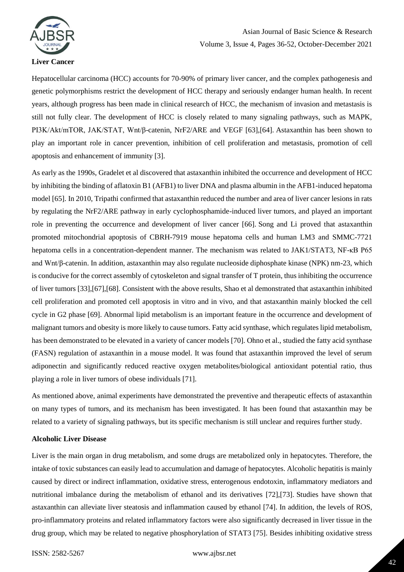

#### **Liver Cancer**

Hepatocellular carcinoma (HCC) accounts for 70-90% of primary liver cancer, and the complex pathogenesis and genetic polymorphisms restrict the development of HCC therapy and seriously endanger human health. In recent years, although progress has been made in clinical research of HCC, the mechanism of invasion and metastasis is still not fully clear. The development of HCC is closely related to many signaling pathways, such as MAPK, PI3K/Akt/mTOR, JAK/STAT, Wnt/β-catenin, NrF2/ARE and VEGF [63],[64]. Astaxanthin has been shown to play an important role in cancer prevention, inhibition of cell proliferation and metastasis, promotion of cell apoptosis and enhancement of immunity [3].

As early as the 1990s, Gradelet et al discovered that astaxanthin inhibited the occurrence and development of HCC by inhibiting the binding of aflatoxin B1 (AFB1) to liver DNA and plasma albumin in the AFB1-induced hepatoma model [65]. In 2010, Tripathi confirmed that astaxanthin reduced the number and area of liver cancer lesions in rats by regulating the NrF2/ARE pathway in early cyclophosphamide-induced liver tumors, and played an important role in preventing the occurrence and development of liver cancer [66]. Song and Li proved that astaxanthin promoted mitochondrial apoptosis of CBRH-7919 mouse hepatoma cells and human LM3 and SMMC-7721 hepatoma cells in a concentration-dependent manner. The mechanism was related to JAK1/STAT3, NF-κB P65 and Wnt/β-catenin. In addition, astaxanthin may also regulate nucleoside diphosphate kinase (NPK) nm-23, which is conducive for the correct assembly of cytoskeleton and signal transfer of T protein, thus inhibiting the occurrence of liver tumors [33],[67],[68]. Consistent with the above results, Shao et al demonstrated that astaxanthin inhibited cell proliferation and promoted cell apoptosis in vitro and in vivo, and that astaxanthin mainly blocked the cell cycle in G2 phase [69]. Abnormal lipid metabolism is an important feature in the occurrence and development of malignant tumors and obesity is more likely to cause tumors. Fatty acid synthase, which regulates lipid metabolism, has been demonstrated to be elevated in a variety of cancer models [70]. Ohno et al., studied the fatty acid synthase (FASN) regulation of astaxanthin in a mouse model. It was found that astaxanthin improved the level of serum adiponectin and significantly reduced reactive oxygen metabolites/biological antioxidant potential ratio, thus playing a role in liver tumors of obese individuals [71].

As mentioned above, animal experiments have demonstrated the preventive and therapeutic effects of astaxanthin on many types of tumors, and its mechanism has been investigated. It has been found that astaxanthin may be related to a variety of signaling pathways, but its specific mechanism is still unclear and requires further study.

# **Alcoholic Liver Disease**

Liver is the main organ in drug metabolism, and some drugs are metabolized only in hepatocytes. Therefore, the intake of toxic substances can easily lead to accumulation and damage of hepatocytes. Alcoholic hepatitis is mainly caused by direct or indirect inflammation, oxidative stress, enterogenous endotoxin, inflammatory mediators and nutritional imbalance during the metabolism of ethanol and its derivatives [72],[73]. Studies have shown that astaxanthin can alleviate liver steatosis and inflammation caused by ethanol [74]. In addition, the levels of ROS, pro-inflammatory proteins and related inflammatory factors were also significantly decreased in liver tissue in the drug group, which may be related to negative phosphorylation of STAT3 [75]. Besides inhibiting oxidative stress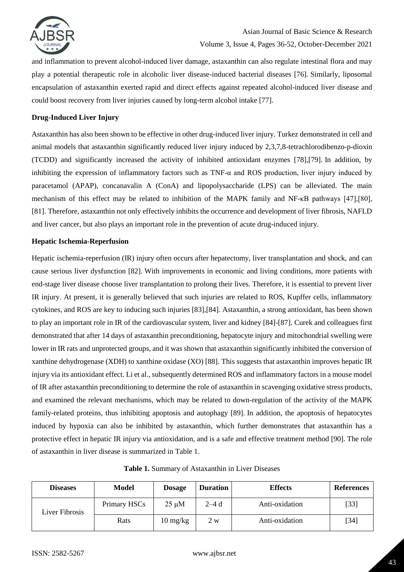

and inflammation to prevent alcohol-induced liver damage, astaxanthin can also regulate intestinal flora and may play a potential therapeutic role in alcoholic liver disease-induced bacterial diseases [76]. Similarly, liposomal encapsulation of astaxanthin exerted rapid and direct effects against repeated alcohol-induced liver disease and could boost recovery from liver injuries caused by long-term alcohol intake [77].

# **Drug-Induced Liver Injury**

Astaxanthin has also been shown to be effective in other drug-induced liver injury. Turkez demonstrated in cell and animal models that astaxanthin significantly reduced liver injury induced by 2,3,7,8-tetrachlorodibenzo-p-dioxin (TCDD) and significantly increased the activity of inhibited antioxidant enzymes [78],[79]. In addition, by inhibiting the expression of inflammatory factors such as TNF-α and ROS production, liver injury induced by paracetamol (APAP), concanavalin A (ConA) and lipopolysaccharide (LPS) can be alleviated. The main mechanism of this effect may be related to inhibition of the MAPK family and NF-κB pathways [47],[80], [81]. Therefore, astaxanthin not only effectively inhibits the occurrence and development of liver fibrosis, NAFLD and liver cancer, but also plays an important role in the prevention of acute drug-induced injury.

# **Hepatic Ischemia-Reperfusion**

Hepatic ischemia-reperfusion (IR) injury often occurs after hepatectomy, liver transplantation and shock, and can cause serious liver dysfunction [82]. With improvements in economic and living conditions, more patients with end-stage liver disease choose liver transplantation to prolong their lives. Therefore, it is essential to prevent liver IR injury. At present, it is generally believed that such injuries are related to ROS, Kupffer cells, inflammatory cytokines, and ROS are key to inducing such injuries [83],[84]. Astaxanthin, a strong antioxidant, has been shown to play an important role in IR of the cardiovascular system, liver and kidney [84]-[87]. Curek and colleagues first demonstrated that after 14 days of astaxanthin preconditioning, hepatocyte injury and mitochondrial swelling were lower in IR rats and unprotected groups, and it was shown that astaxanthin significantly inhibited the conversion of xanthine dehydrogenase (XDH) to xanthine oxidase (XO) [88]. This suggests that astaxanthin improves hepatic IR injury via its antioxidant effect. Li et al., subsequently determined ROS and inflammatory factors in a mouse model of IR after astaxanthin preconditioning to determine the role of astaxanthin in scavenging oxidative stress products, and examined the relevant mechanisms, which may be related to down-regulation of the activity of the MAPK family-related proteins, thus inhibiting apoptosis and autophagy [89]. In addition, the apoptosis of hepatocytes induced by hypoxia can also be inhibited by astaxanthin, which further demonstrates that astaxanthin has a protective effect in hepatic IR injury via antioxidation, and is a safe and effective treatment method [90]. The role of astaxanthin in liver disease is summarized in [Table 1.](https://www.ncbi.nlm.nih.gov/pmc/articles/PMC7293384/table/T0001/)

**Table 1.** Summary of Astaxanthin in Liver Diseases

| <b>Diseases</b> | <b>Model</b> | <b>Dosage</b>      | <b>Duration</b> | <b>Effects</b> | <b>References</b> |
|-----------------|--------------|--------------------|-----------------|----------------|-------------------|
| Liver Fibrosis  | Primary HSCs | $25 \mu M$         | 2–4 d           | Anti-oxidation | [33]              |
|                 | Rats         | $10 \text{ mg/kg}$ | 2 w             | Anti-oxidation | $[34]$            |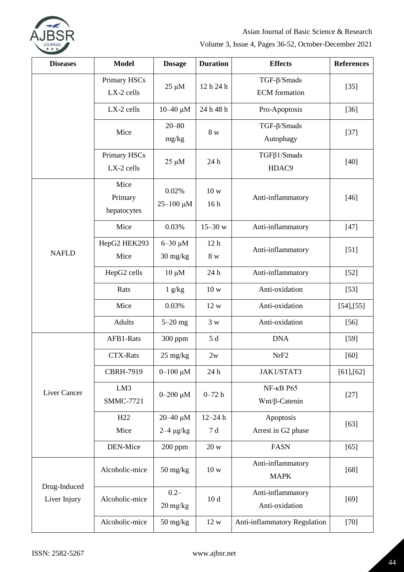

| <b>Diseases</b>              | <b>Model</b>                   | <b>Dosage</b>                                      | <b>Duration</b>        | <b>Effects</b>                                | <b>References</b> |
|------------------------------|--------------------------------|----------------------------------------------------|------------------------|-----------------------------------------------|-------------------|
|                              | Primary HSCs<br>LX-2 cells     | $25 \mu M$                                         | 12 h 24 h              | $TGF-\beta/Smads$<br><b>ECM</b> formation     | $[35]$            |
|                              | LX-2 cells                     | $10 - 40 \mu M$                                    | 24 h 48 h              | Pro-Apoptosis                                 | $[36]$            |
|                              | Mice                           | $20 - 80$<br>mg/kg                                 | 8 w                    | $TGF-\beta/Smads$<br>Autophagy                | $[37]$            |
|                              | Primary HSCs<br>LX-2 cells     | $25 \mu M$                                         | 24 h                   | $TGF\beta1/Smads$<br>HDAC9                    | $[40]$            |
|                              | Mice<br>Primary<br>hepatocytes | 0.02%<br>$25 - 100 \mu M$                          | 10 w<br>16h            | Anti-inflammatory                             | $[46]$            |
|                              | Mice                           | 0.03%                                              | $15 - 30$ w            | Anti-inflammatory                             | $[47]$            |
| <b>NAFLD</b>                 | HepG2 HEK293<br>Mice           | $6 - 30 \mu M$<br>$30 \frac{\text{mg}}{\text{kg}}$ | 12 <sub>h</sub><br>8 w | Anti-inflammatory                             | $[51]$            |
|                              | HepG2 cells                    | $10 \mu M$                                         | 24 h                   | Anti-inflammatory                             | $[52]$            |
|                              | Rats                           | 1 g/kg                                             | 10 w                   | Anti-oxidation                                | $[53]$            |
|                              | Mice                           | 0.03%                                              | 12 w                   | Anti-oxidation                                | [54],[55]         |
|                              | Adults                         | $5-20$ mg                                          | 3 w                    | Anti-oxidation                                | $[56]$            |
|                              | AFB1-Rats                      | 300 ppm                                            | $5d$                   | <b>DNA</b>                                    | $[59]$            |
|                              | <b>CTX-Rats</b>                | $25 \text{ mg/kg}$                                 | 2w                     | NrF <sub>2</sub>                              | $[60]$            |
|                              | <b>CBRH-7919</b>               | $0 - 100 \mu M$                                    | 24 h                   | JAK1/STAT3                                    | [61],[62]         |
| Liver Cancer                 | LM3<br><b>SMMC-7721</b>        | $0 - 200 \mu M$                                    | $0 - 72h$              | $NF$ - $\kappa B$ P65<br>$Wnt/\beta$ -Catenin | $[27]$            |
|                              | H <sub>22</sub>                | $20 - 40 \mu M$                                    | $12 - 24 h$            | Apoptosis                                     | $[63]$            |
|                              | Mice                           | $2-4 \mu g/kg$                                     | 7d                     | Arrest in G2 phase                            |                   |
|                              | DEN-Mice                       | $200$ ppm                                          | 20 w                   | <b>FASN</b>                                   | $[65]$            |
| Drug-Induced<br>Liver Injury | Alcoholic-mice                 | $50 \frac{\text{mg}}{\text{kg}}$                   | 10 w                   | Anti-inflammatory<br><b>MAPK</b>              | $[68]$            |
|                              | Alcoholic-mice                 | $0.2 -$<br>$20 \frac{\text{mg}}{\text{kg}}$        | 10d                    | Anti-inflammatory<br>Anti-oxidation           | $[69]$            |
|                              | Alcoholic-mice                 | $50 \frac{\text{mg}}{\text{kg}}$                   | 12 w                   | Anti-inflammatory Regulation                  | $[70]$            |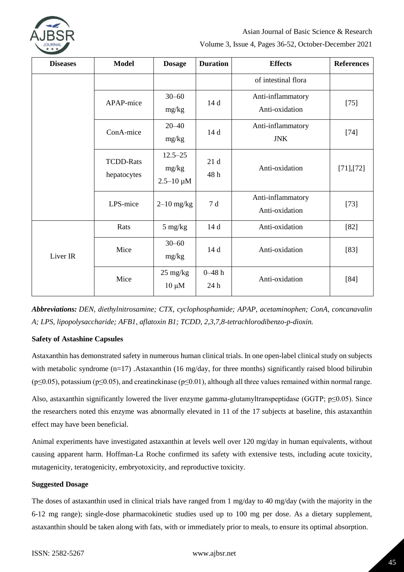

Asian Journal of Basic Science & Research

Volume 3, Issue 4, Pages 36-52, October-December 2021

| <b>Diseases</b> | <b>Model</b>                    | <b>Dosage</b>                            | <b>Duration</b>    | <b>Effects</b>                      | <b>References</b> |
|-----------------|---------------------------------|------------------------------------------|--------------------|-------------------------------------|-------------------|
|                 |                                 |                                          |                    | of intestinal flora                 |                   |
|                 | APAP-mice                       | $30 - 60$<br>mg/kg                       | 14 d               | Anti-inflammatory<br>Anti-oxidation | $[75]$            |
|                 | ConA-mice                       | $20 - 40$<br>mg/kg                       | 14d                | Anti-inflammatory<br><b>JNK</b>     | $[74]$            |
|                 | <b>TCDD-Rats</b><br>hepatocytes | $12.5 - 25$<br>mg/kg<br>$2.5 - 10 \mu M$ | 21d<br>48h         | Anti-oxidation                      | [71],[72]         |
|                 | LPS-mice                        | $2-10$ mg/kg                             | 7d                 | Anti-inflammatory<br>Anti-oxidation | $[73]$            |
| Liver IR        | Rats                            | $5 \text{ mg/kg}$                        | 14d                | Anti-oxidation                      | $[82]$            |
|                 | Mice                            | $30 - 60$<br>mg/kg                       | 14 d               | Anti-oxidation                      | $[83]$            |
|                 | Mice                            | $25 \text{ mg/kg}$<br>$10 \mu M$         | $0 - 48 h$<br>24 h | Anti-oxidation                      | $[84]$            |

*Abbreviations: DEN, diethylnitrosamine; CTX, cyclophosphamide; APAP, acetaminophen; ConA, concanavalin A; LPS, lipopolysaccharide; AFB1, aflatoxin B1; TCDD, 2,3,7,8-tetrachlorodibenzo-p-dioxin.*

# **Safety of Astashine Capsules**

Astaxanthin has demonstrated safety in numerous human clinical trials. In one open-label clinical study on subjects with metabolic syndrome (n=17) .Astaxanthin (16 mg/day, for three months) significantly raised blood bilirubin  $(p \le 0.05)$ , potassium (p≤0.05), and creatinekinase (p≤0.01), although all three values remained within normal range.

Also, astaxanthin significantly lowered the liver enzyme gamma-glutamyltranspeptidase (GGTP; p≤0.05). Since the researchers noted this enzyme was abnormally elevated in 11 of the 17 subjects at baseline, this astaxanthin effect may have been beneficial.

Animal experiments have investigated astaxanthin at levels well over 120 mg/day in human equivalents, without causing apparent harm. Hoffman-La Roche confirmed its safety with extensive tests, including acute toxicity, mutagenicity, teratogenicity, embryotoxicity, and reproductive toxicity.

# **Suggested Dosage**

The doses of astaxanthin used in clinical trials have ranged from 1 mg/day to 40 mg/day (with the majority in the 6-12 mg range); single-dose pharmacokinetic studies used up to 100 mg per dose. As a dietary supplement, astaxanthin should be taken along with fats, with or immediately prior to meals, to ensure its optimal absorption.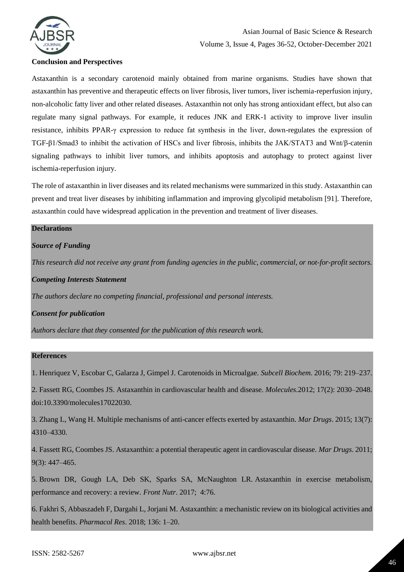

# **Conclusion and Perspectives**

Astaxanthin is a secondary carotenoid mainly obtained from marine organisms. Studies have shown that astaxanthin has preventive and therapeutic effects on liver fibrosis, liver tumors, liver ischemia-reperfusion injury, non-alcoholic fatty liver and other related diseases. Astaxanthin not only has strong antioxidant effect, but also can regulate many signal pathways. For example, it reduces JNK and ERK-1 activity to improve liver insulin resistance, inhibits PPAR-γ expression to reduce fat synthesis in the liver, down-regulates the expression of TGF-β1/Smad3 to inhibit the activation of HSCs and liver fibrosis, inhibits the JAK/STAT3 and Wnt/β-catenin signaling pathways to inhibit liver tumors, and inhibits apoptosis and autophagy to protect against liver ischemia-reperfusion injury.

The role of astaxanthin in liver diseases and its related mechanisms were summarized in this study. Astaxanthin can prevent and treat liver diseases by inhibiting inflammation and improving glycolipid metabolism [91]. Therefore, astaxanthin could have widespread application in the prevention and treatment of liver diseases.

# **Declarations**

# *Source of Funding*

*This research did not receive any grant from funding agencies in the public, commercial, or not-for-profit sectors.*

#### *Competing Interests Statement*

*The authors declare no competing financial, professional and personal interests.*

# *Consent for publication*

*Authors declare that they consented for the publication of this research work.* 

# **References**

1. Henriquez V, Escobar C, Galarza J, Gimpel J. Carotenoids in Microalgae. *Subcell Biochem*. 2016; 79: 219–237.

2. Fassett RG, Coombes JS. Astaxanthin in cardiovascular health and disease. *Molecules*.2012; 17(2): 2030–2048. doi:10.3390/molecules17022030.

3. Zhang L, Wang H. Multiple mechanisms of anti-cancer effects exerted by astaxanthin. *Mar Drugs*. 2015; 13(7): 4310–4330.

4. Fassett RG, Coombes JS. Astaxanthin: a potential therapeutic agent in cardiovascular disease. *Mar Drugs*. 2011; 9(3): 447–465.

5. Brown DR, Gough LA, Deb SK, Sparks SA, McNaughton LR. Astaxanthin in exercise metabolism, performance and recovery: a review. *Front Nutr*. 2017; 4:76.

6. Fakhri S, Abbaszadeh F, Dargahi L, Jorjani M. Astaxanthin: a mechanistic review on its biological activities and health benefits. *Pharmacol Res*. 2018; 136: 1–20.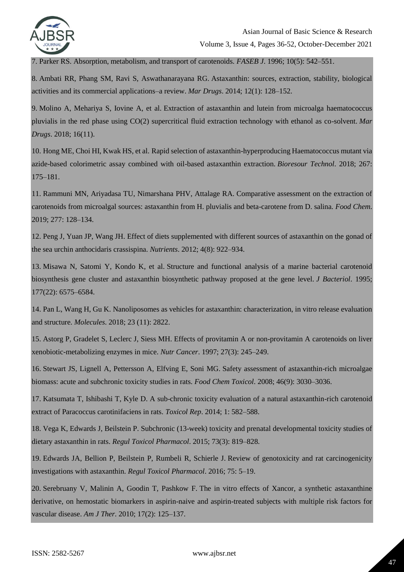

7. Parker RS. Absorption, metabolism, and transport of carotenoids. *FASEB J*. 1996; 10(5): 542–551.

8. Ambati RR, Phang SM, Ravi S, Aswathanarayana RG. Astaxanthin: sources, extraction, stability, biological activities and its commercial applications–a review. *Mar Drugs*. 2014; 12(1): 128–152.

9. Molino A, Mehariya S, Iovine A, et al. Extraction of astaxanthin and lutein from microalga haematococcus pluvialis in the red phase using CO(2) supercritical fluid extraction technology with ethanol as co-solvent. *Mar Drugs*. 2018; 16(11).

10. Hong ME, Choi HI, Kwak HS, et al. Rapid selection of astaxanthin-hyperproducing Haematococcus mutant via azide-based colorimetric assay combined with oil-based astaxanthin extraction. *Bioresour Technol*. 2018; 267: 175–181.

11. Rammuni MN, Ariyadasa TU, Nimarshana PHV, Attalage RA. Comparative assessment on the extraction of carotenoids from microalgal sources: astaxanthin from H. pluvialis and beta-carotene from D. salina. *Food Chem*. 2019; 277: 128–134.

12. Peng J, Yuan JP, Wang JH. Effect of diets supplemented with different sources of astaxanthin on the gonad of the sea urchin anthocidaris crassispina. *Nutrients*. 2012; 4(8): 922–934.

13. Misawa N, Satomi Y, Kondo K, et al. Structure and functional analysis of a marine bacterial carotenoid biosynthesis gene cluster and astaxanthin biosynthetic pathway proposed at the gene level. *J Bacteriol*. 1995; 177(22): 6575–6584.

14. Pan L, Wang H, Gu K. Nanoliposomes as vehicles for astaxanthin: characterization, in vitro release evaluation and structure. *Molecules*. 2018; 23 (11): 2822.

15. Astorg P, Gradelet S, Leclerc J, Siess MH. Effects of provitamin A or non-provitamin A carotenoids on liver xenobiotic-metabolizing enzymes in mice. *Nutr Cancer*. 1997; 27(3): 245–249.

16. Stewart JS, Lignell A, Pettersson A, Elfving E, Soni MG. Safety assessment of astaxanthin-rich microalgae biomass: acute and subchronic toxicity studies in rats. *Food Chem Toxicol*. 2008; 46(9): 3030–3036.

17. Katsumata T, Ishibashi T, Kyle D. A sub-chronic toxicity evaluation of a natural astaxanthin-rich carotenoid extract of Paracoccus carotinifaciens in rats. *Toxicol Rep*. 2014; 1: 582–588.

18. Vega K, Edwards J, Beilstein P. Subchronic (13-week) toxicity and prenatal developmental toxicity studies of dietary astaxanthin in rats. *Regul Toxicol Pharmacol*. 2015; 73(3): 819–828.

19. Edwards JA, Bellion P, Beilstein P, Rumbeli R, Schierle J. Review of genotoxicity and rat carcinogenicity investigations with astaxanthin. *Regul Toxicol Pharmacol*. 2016; 75: 5–19.

20. Serebruany V, Malinin A, Goodin T, Pashkow F. The in vitro effects of Xancor, a synthetic astaxanthine derivative, on hemostatic biomarkers in aspirin-naive and aspirin-treated subjects with multiple risk factors for vascular disease. *Am J Ther*. 2010; 17(2): 125–137.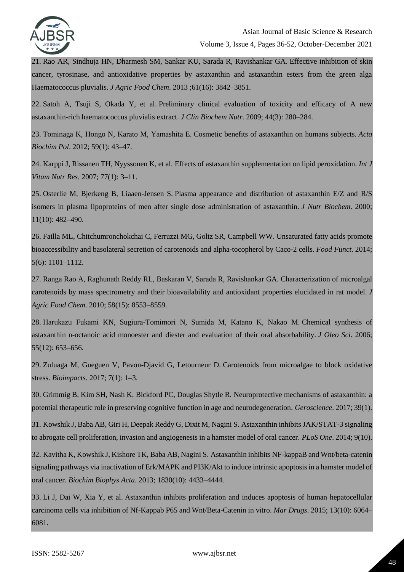

21. Rao AR, Sindhuja HN, Dharmesh SM, Sankar KU, Sarada R, Ravishankar GA. Effective inhibition of skin cancer, tyrosinase, and antioxidative properties by astaxanthin and astaxanthin esters from the green alga Haematococcus pluvialis. *J Agric Food Chem*. 2013 ;61(16): 3842–3851.

22. Satoh A, Tsuji S, Okada Y, et al. Preliminary clinical evaluation of toxicity and efficacy of A new astaxanthin-rich haematococcus pluvialis extract. *J Clin Biochem Nutr*. 2009; 44(3): 280–284.

23. Tominaga K, Hongo N, Karato M, Yamashita E. Cosmetic benefits of astaxanthin on humans subjects. *Acta Biochim Pol*. 2012; 59(1): 43–47.

24. Karppi J, Rissanen TH, Nyyssonen K, et al. Effects of astaxanthin supplementation on lipid peroxidation. *Int J Vitam Nutr Res*. 2007; 77(1): 3–11.

25. Osterlie M, Bjerkeng B, Liaaen-Jensen S. Plasma appearance and distribution of astaxanthin E/Z and R/S isomers in plasma lipoproteins of men after single dose administration of astaxanthin. *J Nutr Biochem*. 2000; 11(10): 482–490.

26. Failla ML, Chitchumronchokchai C, Ferruzzi MG, Goltz SR, Campbell WW. Unsaturated fatty acids promote bioaccessibility and basolateral secretion of carotenoids and alpha-tocopherol by Caco-2 cells. *Food Funct*. 2014; 5(6): 1101–1112.

27. Ranga Rao A, Raghunath Reddy RL, Baskaran V, Sarada R, Ravishankar GA. Characterization of microalgal carotenoids by mass spectrometry and their bioavailability and antioxidant properties elucidated in rat model. *J Agric Food Chem*. 2010; 58(15): 8553–8559.

28. Harukazu Fukami KN, Sugiura-Tomimori N, Sumida M, Katano K, Nakao M. Chemical synthesis of astaxanthin n-octanoic acid monoester and diester and evaluation of their oral absorbability. *J Oleo Sci*. 2006; 55(12): 653–656.

29. Zuluaga M, Gueguen V, Pavon-Djavid G, Letourneur D. Carotenoids from microalgae to block oxidative stress. *Bioimpacts*. 2017; 7(1): 1–3.

30. Grimmig B, Kim SH, Nash K, Bickford PC, Douglas Shytle R. Neuroprotective mechanisms of astaxanthin: a potential therapeutic role in preserving cognitive function in age and neurodegeneration. *Geroscience*. 2017; 39(1).

31. Kowshik J, Baba AB, Giri H, Deepak Reddy G, Dixit M, Nagini S. Astaxanthin inhibits JAK/STAT-3 signaling to abrogate cell proliferation, invasion and angiogenesis in a hamster model of oral cancer. *PLoS One*. 2014; 9(10).

32. Kavitha K, Kowshik J, Kishore TK, Baba AB, Nagini S. Astaxanthin inhibits NF-kappaB and Wnt/beta-catenin signaling pathways via inactivation of Erk/MAPK and PI3K/Akt to induce intrinsic apoptosis in a hamster model of oral cancer. *Biochim Biophys Acta*. 2013; 1830(10): 4433–4444.

33. Li J, Dai W, Xia Y, et al. Astaxanthin inhibits proliferation and induces apoptosis of human hepatocellular carcinoma cells via inhibition of Nf-Kappab P65 and Wnt/Beta-Catenin in vitro. *Mar Drugs*. 2015; 13(10): 6064– 6081.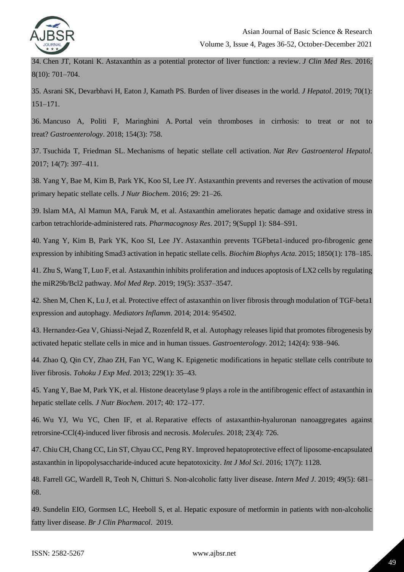

34. Chen JT, Kotani K. Astaxanthin as a potential protector of liver function: a review. *J Clin Med Res*. 2016; 8(10): 701–704.

35. Asrani SK, Devarbhavi H, Eaton J, Kamath PS. Burden of liver diseases in the world. *J Hepatol*. 2019; 70(1): 151–171.

36. Mancuso A, Politi F, Maringhini A. Portal vein thromboses in cirrhosis: to treat or not to treat? *Gastroenterology*. 2018; 154(3): 758.

37. Tsuchida T, Friedman SL. Mechanisms of hepatic stellate cell activation. *Nat Rev Gastroenterol Hepatol*. 2017; 14(7): 397–411.

38. Yang Y, Bae M, Kim B, Park YK, Koo SI, Lee JY. Astaxanthin prevents and reverses the activation of mouse primary hepatic stellate cells. *J Nutr Biochem*. 2016; 29: 21–26.

39. Islam MA, Al Mamun MA, Faruk M, et al. Astaxanthin ameliorates hepatic damage and oxidative stress in carbon tetrachloride-administered rats. *Pharmacognosy Res*. 2017; 9(Suppl 1): S84–S91.

40. Yang Y, Kim B, Park YK, Koo SI, Lee JY. Astaxanthin prevents TGFbeta1-induced pro-fibrogenic gene expression by inhibiting Smad3 activation in hepatic stellate cells. *Biochim Biophys Acta*. 2015; 1850(1): 178–185.

41. Zhu S, Wang T, Luo F, et al. Astaxanthin inhibits proliferation and induces apoptosis of LX2 cells by regulating the miR29b/Bcl2 pathway. *Mol Med Rep*. 2019; 19(5): 3537–3547.

42. Shen M, Chen K, Lu J, et al. Protective effect of astaxanthin on liver fibrosis through modulation of TGF-beta1 expression and autophagy. *Mediators Inflamm*. 2014; 2014: 954502.

43. Hernandez-Gea V, Ghiassi-Nejad Z, Rozenfeld R, et al. Autophagy releases lipid that promotes fibrogenesis by activated hepatic stellate cells in mice and in human tissues. *Gastroenterology*. 2012; 142(4): 938–946.

44. Zhao Q, Qin CY, Zhao ZH, Fan YC, Wang K. Epigenetic modifications in hepatic stellate cells contribute to liver fibrosis. *Tohoku J Exp Med*. 2013; 229(1): 35–43.

45. Yang Y, Bae M, Park YK, et al. Histone deacetylase 9 plays a role in the antifibrogenic effect of astaxanthin in hepatic stellate cells. *J Nutr Biochem*. 2017; 40: 172–177.

46. Wu YJ, Wu YC, Chen IF, et al. Reparative effects of astaxanthin-hyaluronan nanoaggregates against retrorsine-CCl(4)-induced liver fibrosis and necrosis. *Molecules*. 2018; 23(4): 726.

47. Chiu CH, Chang CC, Lin ST, Chyau CC, Peng RY. Improved hepatoprotective effect of liposome-encapsulated astaxanthin in lipopolysaccharide-induced acute hepatotoxicity. *Int J Mol Sci*. 2016; 17(7): 1128.

48. Farrell GC, Wardell R, Teoh N, Chitturi S. Non-alcoholic fatty liver disease. *Intern Med J*. 2019; 49(5): 681– 68.

49. Sundelin EIO, Gormsen LC, Heeboll S, et al. Hepatic exposure of metformin in patients with non-alcoholic fatty liver disease. *Br J Clin Pharmacol*. 2019.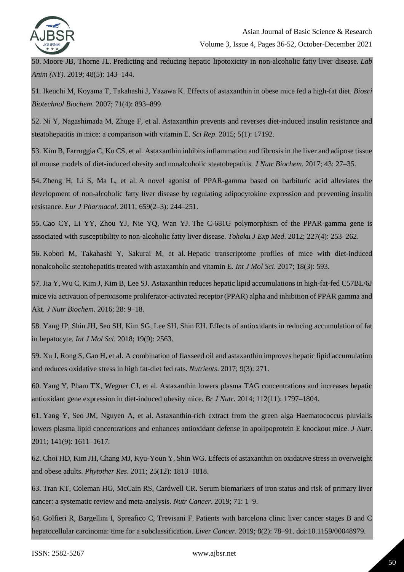

50. Moore JB, Thorne JL. Predicting and reducing hepatic lipotoxicity in non-alcoholic fatty liver disease. *Lab Anim (NY)*. 2019; 48(5): 143–144.

51. Ikeuchi M, Koyama T, Takahashi J, Yazawa K. Effects of astaxanthin in obese mice fed a high-fat diet. *Biosci Biotechnol Biochem*. 2007; 71(4): 893–899.

52. Ni Y, Nagashimada M, Zhuge F, et al. Astaxanthin prevents and reverses diet-induced insulin resistance and steatohepatitis in mice: a comparison with vitamin E. *Sci Rep*. 2015; 5(1): 17192.

53. Kim B, Farruggia C, Ku CS, et al. Astaxanthin inhibits inflammation and fibrosis in the liver and adipose tissue of mouse models of diet-induced obesity and nonalcoholic steatohepatitis. *J Nutr Biochem*. 2017; 43: 27–35.

54. Zheng H, Li S, Ma L, et al. A novel agonist of PPAR-gamma based on barbituric acid alleviates the development of non-alcoholic fatty liver disease by regulating adipocytokine expression and preventing insulin resistance. *Eur J Pharmacol*. 2011; 659(2–3): 244–251.

55. Cao CY, Li YY, Zhou YJ, Nie YQ, Wan YJ. The C-681G polymorphism of the PPAR-gamma gene is associated with susceptibility to non-alcoholic fatty liver disease. *Tohoku J Exp Med*. 2012; 227(4): 253–262.

56. Kobori M, Takahashi Y, Sakurai M, et al. Hepatic transcriptome profiles of mice with diet-induced nonalcoholic steatohepatitis treated with astaxanthin and vitamin E. *Int J Mol Sci*. 2017; 18(3): 593.

57. Jia Y, Wu C, Kim J, Kim B, Lee SJ. Astaxanthin reduces hepatic lipid accumulations in high-fat-fed C57BL/6J mice via activation of peroxisome proliferator-activated receptor (PPAR) alpha and inhibition of PPAR gamma and Akt. *J Nutr Biochem*. 2016; 28: 9–18.

58. Yang JP, Shin JH, Seo SH, Kim SG, Lee SH, Shin EH. Effects of antioxidants in reducing accumulation of fat in hepatocyte. *Int J Mol Sci*. 2018; 19(9): 2563.

59. Xu J, Rong S, Gao H, et al. A combination of flaxseed oil and astaxanthin improves hepatic lipid accumulation and reduces oxidative stress in high fat-diet fed rats. *Nutrients*. 2017; 9(3): 271.

60. Yang Y, Pham TX, Wegner CJ, et al. Astaxanthin lowers plasma TAG concentrations and increases hepatic antioxidant gene expression in diet-induced obesity mice. *Br J Nutr*. 2014; 112(11): 1797–1804.

61. Yang Y, Seo JM, Nguyen A, et al. Astaxanthin-rich extract from the green alga Haematococcus pluvialis lowers plasma lipid concentrations and enhances antioxidant defense in apolipoprotein E knockout mice. *J Nutr*. 2011; 141(9): 1611–1617.

62. Choi HD, Kim JH, Chang MJ, Kyu-Youn Y, Shin WG. Effects of astaxanthin on oxidative stress in overweight and obese adults. *Phytother Res*. 2011; 25(12): 1813–1818.

63. Tran KT, Coleman HG, McCain RS, Cardwell CR. Serum biomarkers of iron status and risk of primary liver cancer: a systematic review and meta-analysis. *Nutr Cancer*. 2019; 71: 1–9.

64. Golfieri R, Bargellini I, Spreafico C, Trevisani F. Patients with barcelona clinic liver cancer stages B and C hepatocellular carcinoma: time for a subclassification. *Liver Cancer*. 2019; 8(2): 78–91. doi:10.1159/00048979.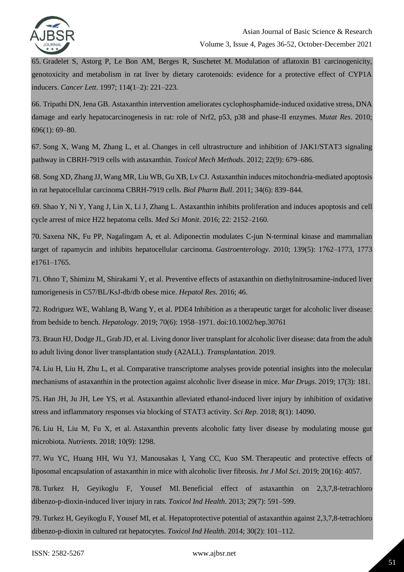

65. Gradelet S, Astorg P, Le Bon AM, Berges R, Suschetet M. Modulation of aflatoxin B1 carcinogenicity, genotoxicity and metabolism in rat liver by dietary carotenoids: evidence for a protective effect of CYP1A inducers. *Cancer Lett*. 1997; 114(1–2): 221–223.

66. Tripathi DN, Jena GB. Astaxanthin intervention ameliorates cyclophosphamide-induced oxidative stress, DNA damage and early hepatocarcinogenesis in rat: role of Nrf2, p53, p38 and phase-II enzymes. *Mutat Res*. 2010; 696(1): 69–80.

67. Song X, Wang M, Zhang L, et al. Changes in cell ultrastructure and inhibition of JAK1/STAT3 signaling pathway in CBRH-7919 cells with astaxanthin. *Toxicol Mech Methods*. 2012; 22(9): 679–686.

68. Song XD, Zhang JJ, Wang MR, Liu WB, Gu XB, Lv CJ. Astaxanthin induces mitochondria-mediated apoptosis in rat hepatocellular carcinoma CBRH-7919 cells. *Biol Pharm Bull*. 2011; 34(6): 839–844.

69. Shao Y, Ni Y, Yang J, Lin X, Li J, Zhang L. Astaxanthin inhibits proliferation and induces apoptosis and cell cycle arrest of mice H22 hepatoma cells. *Med Sci Monit*. 2016; 22: 2152–2160.

70. Saxena NK, Fu PP, Nagalingam A, et al. Adiponectin modulates C-jun N-terminal kinase and mammalian target of rapamycin and inhibits hepatocellular carcinoma. *Gastroenterology*. 2010; 139(5): 1762–1773, 1773 e1761–1765.

71. Ohno T, Shimizu M, Shirakami Y, et al. Preventive effects of astaxanthin on diethylnitrosamine-induced liver tumorigenesis in C57/BL/KsJ-db/db obese mice. *Hepatol Res*. 2016; 46.

72. Rodriguez WE, Wahlang B, Wang Y, et al. PDE4 Inhibition as a therapeutic target for alcoholic liver disease: from bedside to bench. *Hepatology*. 2019; 70(6): 1958–1971. doi:10.1002/hep.30761

73. Braun HJ, Dodge JL, Grab JD, et al. Living donor liver transplant for alcoholic liver disease: data from the adult to adult living donor liver transplantation study (A2ALL). *Transplantation*. 2019.

74. Liu H, Liu H, Zhu L, et al. Comparative transcriptome analyses provide potential insights into the molecular mechanisms of astaxanthin in the protection against alcoholic liver disease in mice. *Mar Drugs*. 2019; 17(3): 181.

75. Han JH, Ju JH, Lee YS, et al. Astaxanthin alleviated ethanol-induced liver injury by inhibition of oxidative stress and inflammatory responses via blocking of STAT3 activity. *Sci Rep*. 2018; 8(1): 14090.

76. Liu H, Liu M, Fu X, et al. Astaxanthin prevents alcoholic fatty liver disease by modulating mouse gut microbiota. *Nutrients*. 2018; 10(9): 1298.

77. Wu YC, Huang HH, Wu YJ, Manousakas I, Yang CC, Kuo SM. Therapeutic and protective effects of liposomal encapsulation of astaxanthin in mice with alcoholic liver fibrosis. *Int J Mol Sci*. 2019; 20(16): 4057.

78. Turkez H, Geyikoglu F, Yousef MI. Beneficial effect of astaxanthin on 2,3,7,8-tetrachloro dibenzo-p-dioxin-induced liver injury in rats. *Toxicol Ind Health*. 2013; 29(7): 591–599.

79. Turkez H, Geyikoglu F, Yousef MI, et al. Hepatoprotective potential of astaxanthin against 2,3,7,8-tetrachloro dibenzo-p-dioxin in cultured rat hepatocytes. *Toxicol Ind Health*. 2014; 30(2): 101–112.